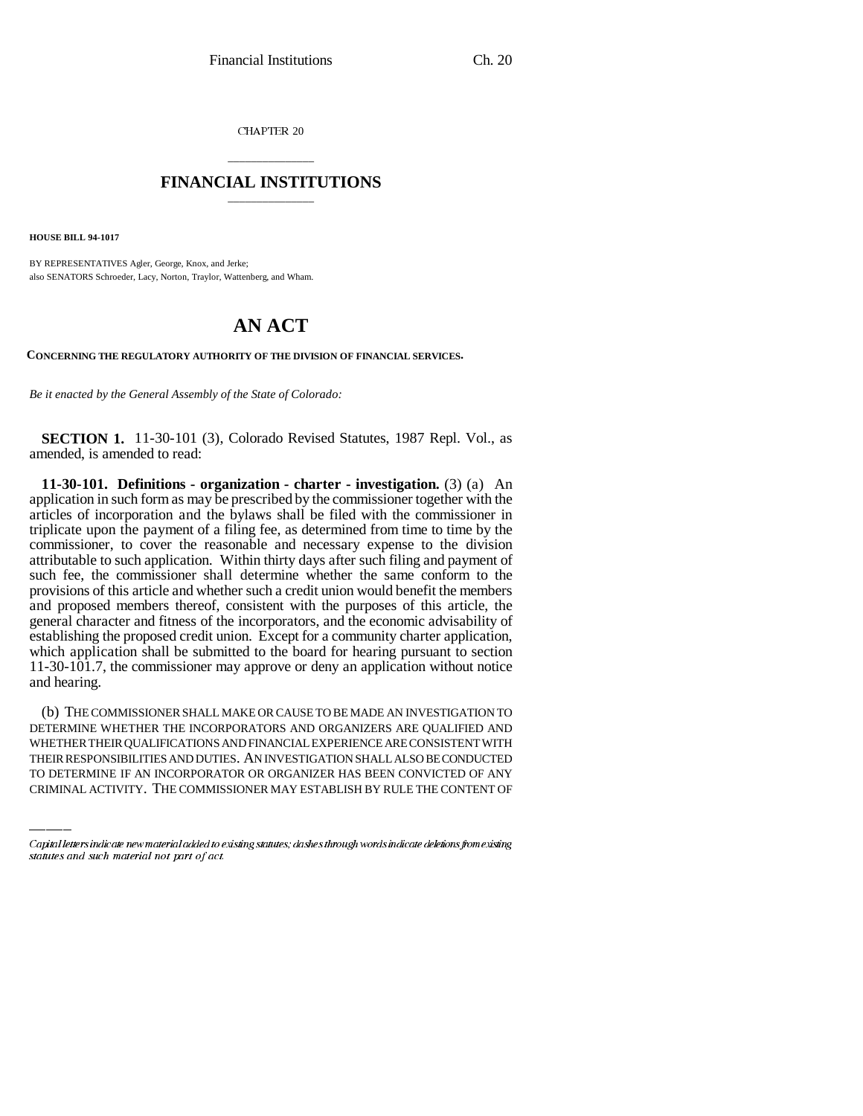CHAPTER 20

## \_\_\_\_\_\_\_\_\_\_\_\_\_\_\_ **FINANCIAL INSTITUTIONS** \_\_\_\_\_\_\_\_\_\_\_\_\_\_\_

**HOUSE BILL 94-1017**

BY REPRESENTATIVES Agler, George, Knox, and Jerke; also SENATORS Schroeder, Lacy, Norton, Traylor, Wattenberg, and Wham.

# **AN ACT**

**CONCERNING THE REGULATORY AUTHORITY OF THE DIVISION OF FINANCIAL SERVICES.**

*Be it enacted by the General Assembly of the State of Colorado:*

**SECTION 1.** 11-30-101 (3), Colorado Revised Statutes, 1987 Repl. Vol., as amended, is amended to read:

**11-30-101. Definitions - organization - charter - investigation.** (3) (a) An application in such form as may be prescribed by the commissioner together with the articles of incorporation and the bylaws shall be filed with the commissioner in triplicate upon the payment of a filing fee, as determined from time to time by the commissioner, to cover the reasonable and necessary expense to the division attributable to such application. Within thirty days after such filing and payment of such fee, the commissioner shall determine whether the same conform to the provisions of this article and whether such a credit union would benefit the members and proposed members thereof, consistent with the purposes of this article, the general character and fitness of the incorporators, and the economic advisability of establishing the proposed credit union. Except for a community charter application, which application shall be submitted to the board for hearing pursuant to section 11-30-101.7, the commissioner may approve or deny an application without notice and hearing.

DETERMINE WHETHER THE INCORPORATORS AND ORGANIZERS ARE QUALIFIED AND (b) THE COMMISSIONER SHALL MAKE OR CAUSE TO BE MADE AN INVESTIGATION TO WHETHER THEIR QUALIFICATIONS AND FINANCIAL EXPERIENCE ARE CONSISTENT WITH THEIR RESPONSIBILITIES AND DUTIES. AN INVESTIGATION SHALL ALSO BE CONDUCTED TO DETERMINE IF AN INCORPORATOR OR ORGANIZER HAS BEEN CONVICTED OF ANY CRIMINAL ACTIVITY. THE COMMISSIONER MAY ESTABLISH BY RULE THE CONTENT OF

Capital letters indicate new material added to existing statutes; dashes through words indicate deletions from existing statutes and such material not part of act.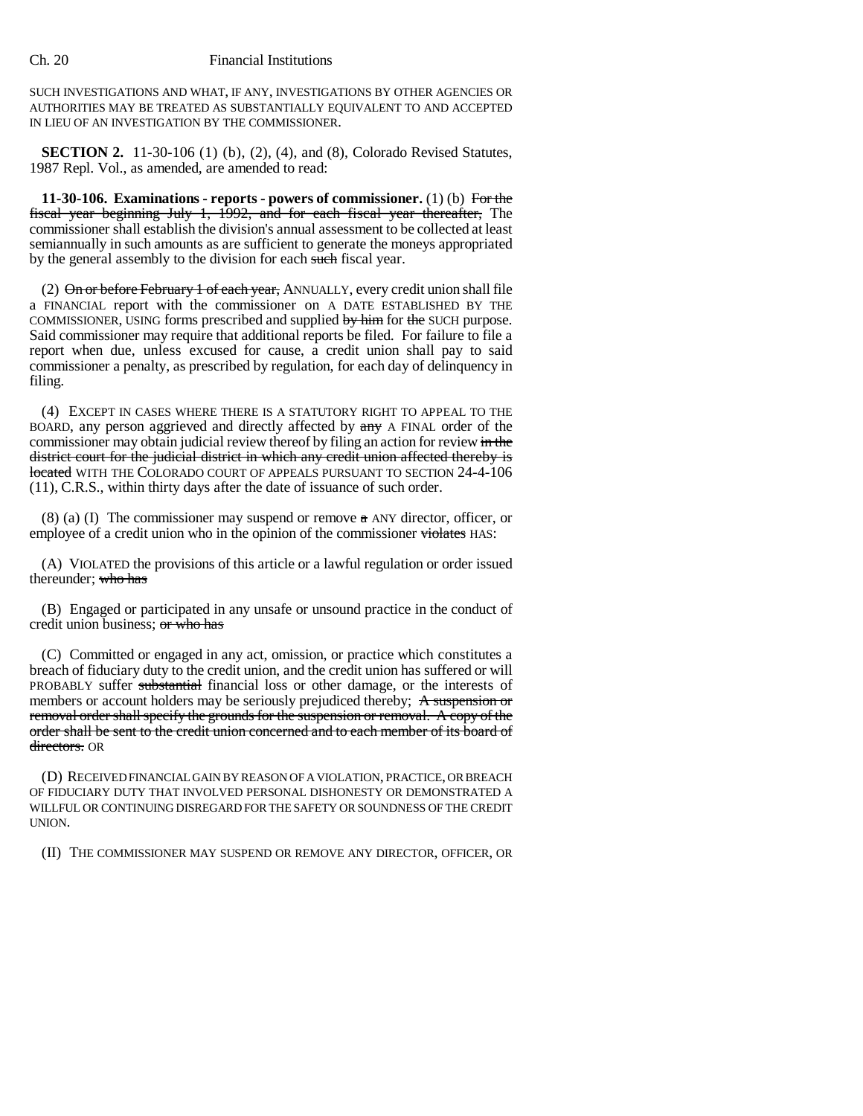#### Ch. 20 Financial Institutions

SUCH INVESTIGATIONS AND WHAT, IF ANY, INVESTIGATIONS BY OTHER AGENCIES OR AUTHORITIES MAY BE TREATED AS SUBSTANTIALLY EQUIVALENT TO AND ACCEPTED IN LIEU OF AN INVESTIGATION BY THE COMMISSIONER.

**SECTION 2.** 11-30-106 (1) (b), (2), (4), and (8), Colorado Revised Statutes, 1987 Repl. Vol., as amended, are amended to read:

**11-30-106. Examinations - reports - powers of commissioner.** (1) (b) For the fiscal year beginning July 1, 1992, and for each fiscal year thereafter, The commissioner shall establish the division's annual assessment to be collected at least semiannually in such amounts as are sufficient to generate the moneys appropriated by the general assembly to the division for each such fiscal year.

(2)  $\Theta$ n or before February 1 of each year, ANNUALLY, every credit union shall file a FINANCIAL report with the commissioner on A DATE ESTABLISHED BY THE COMMISSIONER, USING forms prescribed and supplied by him for the SUCH purpose. Said commissioner may require that additional reports be filed. For failure to file a report when due, unless excused for cause, a credit union shall pay to said commissioner a penalty, as prescribed by regulation, for each day of delinquency in filing.

(4) EXCEPT IN CASES WHERE THERE IS A STATUTORY RIGHT TO APPEAL TO THE BOARD, any person aggrieved and directly affected by  $\frac{a}{ay}$  A FINAL order of the commissioner may obtain judicial review thereof by filing an action for review in the district court for the judicial district in which any credit union affected thereby is located WITH THE COLORADO COURT OF APPEALS PURSUANT TO SECTION 24-4-106 (11), C.R.S., within thirty days after the date of issuance of such order.

(8) (a) (I) The commissioner may suspend or remove  $\alpha$  ANY director, officer, or employee of a credit union who in the opinion of the commissioner violates HAS:

(A) VIOLATED the provisions of this article or a lawful regulation or order issued thereunder; who has

(B) Engaged or participated in any unsafe or unsound practice in the conduct of credit union business; or who has

(C) Committed or engaged in any act, omission, or practice which constitutes a breach of fiduciary duty to the credit union, and the credit union has suffered or will PROBABLY suffer substantial financial loss or other damage, or the interests of members or account holders may be seriously prejudiced thereby; A suspension or removal order shall specify the grounds for the suspension or removal. A copy of the order shall be sent to the credit union concerned and to each member of its board of directors. OR

(D) RECEIVED FINANCIAL GAIN BY REASON OF A VIOLATION, PRACTICE, OR BREACH OF FIDUCIARY DUTY THAT INVOLVED PERSONAL DISHONESTY OR DEMONSTRATED A WILLFUL OR CONTINUING DISREGARD FOR THE SAFETY OR SOUNDNESS OF THE CREDIT UNION.

(II) THE COMMISSIONER MAY SUSPEND OR REMOVE ANY DIRECTOR, OFFICER, OR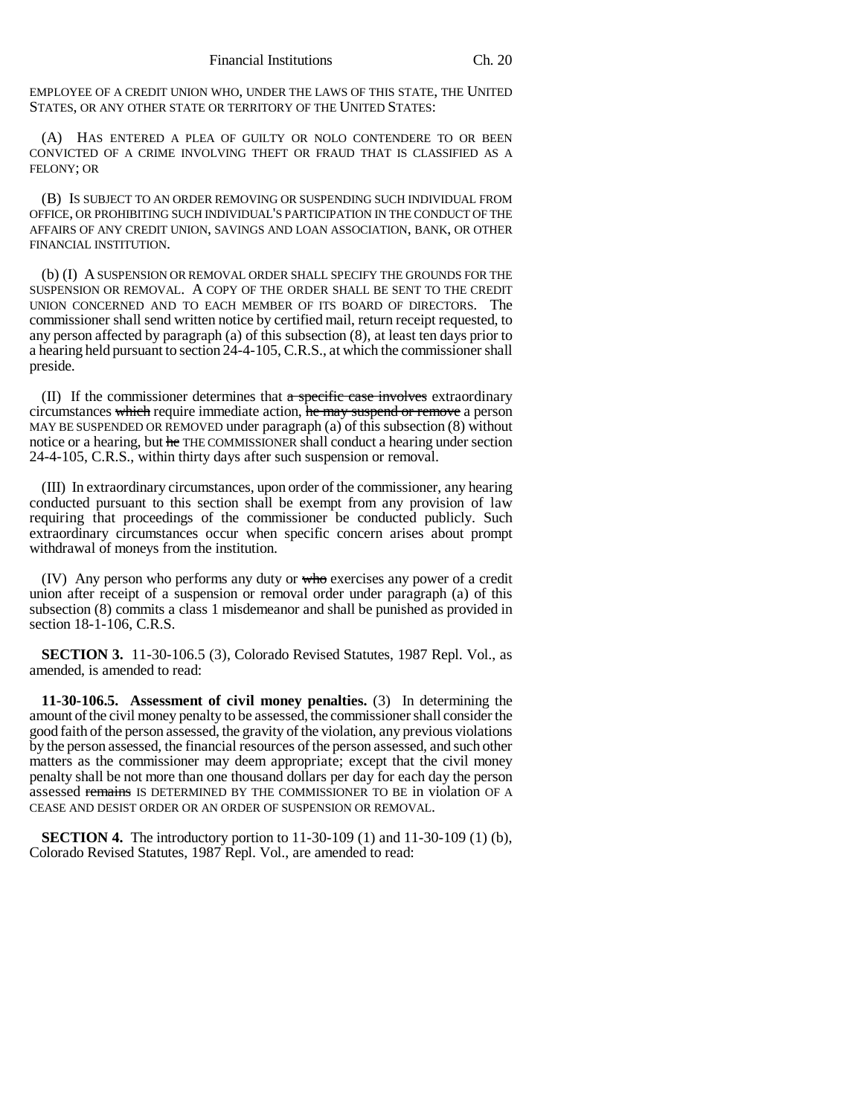EMPLOYEE OF A CREDIT UNION WHO, UNDER THE LAWS OF THIS STATE, THE UNITED STATES, OR ANY OTHER STATE OR TERRITORY OF THE UNITED STATES:

(A) HAS ENTERED A PLEA OF GUILTY OR NOLO CONTENDERE TO OR BEEN CONVICTED OF A CRIME INVOLVING THEFT OR FRAUD THAT IS CLASSIFIED AS A FELONY; OR

(B) IS SUBJECT TO AN ORDER REMOVING OR SUSPENDING SUCH INDIVIDUAL FROM OFFICE, OR PROHIBITING SUCH INDIVIDUAL'S PARTICIPATION IN THE CONDUCT OF THE AFFAIRS OF ANY CREDIT UNION, SAVINGS AND LOAN ASSOCIATION, BANK, OR OTHER FINANCIAL INSTITUTION.

(b) (I) A SUSPENSION OR REMOVAL ORDER SHALL SPECIFY THE GROUNDS FOR THE SUSPENSION OR REMOVAL. A COPY OF THE ORDER SHALL BE SENT TO THE CREDIT UNION CONCERNED AND TO EACH MEMBER OF ITS BOARD OF DIRECTORS. The commissioner shall send written notice by certified mail, return receipt requested, to any person affected by paragraph (a) of this subsection (8), at least ten days prior to a hearing held pursuant to section 24-4-105, C.R.S., at which the commissioner shall preside.

(II) If the commissioner determines that  $a$  specific case involves extraordinary circumstances which require immediate action, he may suspend or remove a person MAY BE SUSPENDED OR REMOVED under paragraph (a) of this subsection (8) without notice or a hearing, but he THE COMMISSIONER shall conduct a hearing under section 24-4-105, C.R.S., within thirty days after such suspension or removal.

(III) In extraordinary circumstances, upon order of the commissioner, any hearing conducted pursuant to this section shall be exempt from any provision of law requiring that proceedings of the commissioner be conducted publicly. Such extraordinary circumstances occur when specific concern arises about prompt withdrawal of moneys from the institution.

(IV) Any person who performs any duty or who exercises any power of a credit union after receipt of a suspension or removal order under paragraph (a) of this subsection (8) commits a class 1 misdemeanor and shall be punished as provided in section 18-1-106, C.R.S.

**SECTION 3.** 11-30-106.5 (3), Colorado Revised Statutes, 1987 Repl. Vol., as amended, is amended to read:

**11-30-106.5. Assessment of civil money penalties.** (3) In determining the amount of the civil money penalty to be assessed, the commissioner shall consider the good faith of the person assessed, the gravity of the violation, any previous violations by the person assessed, the financial resources of the person assessed, and such other matters as the commissioner may deem appropriate; except that the civil money penalty shall be not more than one thousand dollars per day for each day the person assessed remains IS DETERMINED BY THE COMMISSIONER TO BE in violation OF A CEASE AND DESIST ORDER OR AN ORDER OF SUSPENSION OR REMOVAL.

**SECTION 4.** The introductory portion to 11-30-109 (1) and 11-30-109 (1) (b), Colorado Revised Statutes, 1987 Repl. Vol., are amended to read: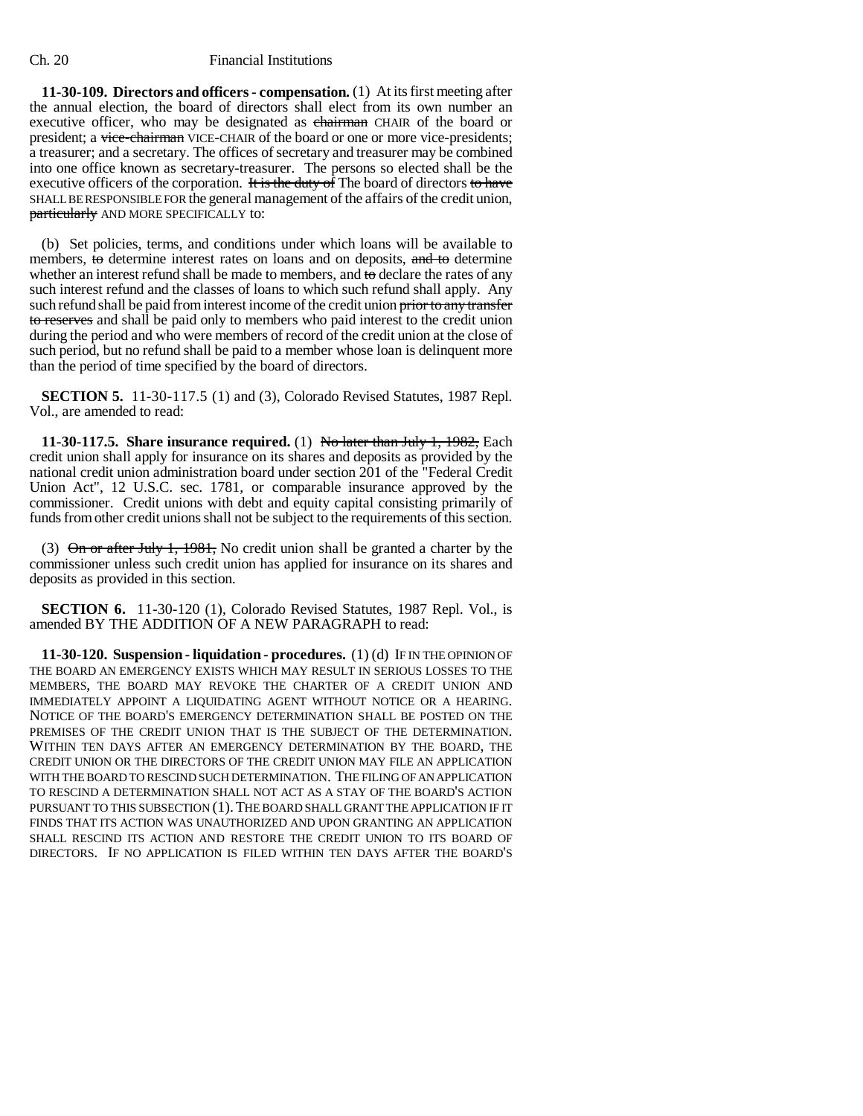#### Ch. 20 Financial Institutions

**11-30-109. Directors and officers - compensation.** (1) At its first meeting after the annual election, the board of directors shall elect from its own number an executive officer, who may be designated as chairman CHAIR of the board or president; a vice-chairman VICE-CHAIR of the board or one or more vice-presidents; a treasurer; and a secretary. The offices of secretary and treasurer may be combined into one office known as secretary-treasurer. The persons so elected shall be the executive officers of the corporation. It is the duty of The board of directors to have SHALL BE RESPONSIBLE FOR the general management of the affairs of the credit union, particularly AND MORE SPECIFICALLY to:

(b) Set policies, terms, and conditions under which loans will be available to members, to determine interest rates on loans and on deposits, and to determine whether an interest refund shall be made to members, and to declare the rates of any such interest refund and the classes of loans to which such refund shall apply. Any such refund shall be paid from interest income of the credit union prior to any transfer to reserves and shall be paid only to members who paid interest to the credit union during the period and who were members of record of the credit union at the close of such period, but no refund shall be paid to a member whose loan is delinquent more than the period of time specified by the board of directors.

**SECTION 5.** 11-30-117.5 (1) and (3), Colorado Revised Statutes, 1987 Repl. Vol., are amended to read:

**11-30-117.5. Share insurance required.** (1) No later than July 1, 1982, Each credit union shall apply for insurance on its shares and deposits as provided by the national credit union administration board under section 201 of the "Federal Credit Union Act", 12 U.S.C. sec. 1781, or comparable insurance approved by the commissioner. Credit unions with debt and equity capital consisting primarily of funds from other credit unions shall not be subject to the requirements of this section.

(3) On or after July 1, 1981, No credit union shall be granted a charter by the commissioner unless such credit union has applied for insurance on its shares and deposits as provided in this section.

**SECTION 6.** 11-30-120 (1), Colorado Revised Statutes, 1987 Repl. Vol., is amended BY THE ADDITION OF A NEW PARAGRAPH to read:

**11-30-120. Suspension - liquidation - procedures.** (1) (d) IF IN THE OPINION OF THE BOARD AN EMERGENCY EXISTS WHICH MAY RESULT IN SERIOUS LOSSES TO THE MEMBERS, THE BOARD MAY REVOKE THE CHARTER OF A CREDIT UNION AND IMMEDIATELY APPOINT A LIQUIDATING AGENT WITHOUT NOTICE OR A HEARING. NOTICE OF THE BOARD'S EMERGENCY DETERMINATION SHALL BE POSTED ON THE PREMISES OF THE CREDIT UNION THAT IS THE SUBJECT OF THE DETERMINATION. WITHIN TEN DAYS AFTER AN EMERGENCY DETERMINATION BY THE BOARD, THE CREDIT UNION OR THE DIRECTORS OF THE CREDIT UNION MAY FILE AN APPLICATION WITH THE BOARD TO RESCIND SUCH DETERMINATION. THE FILING OF AN APPLICATION TO RESCIND A DETERMINATION SHALL NOT ACT AS A STAY OF THE BOARD'S ACTION PURSUANT TO THIS SUBSECTION (1).THE BOARD SHALL GRANT THE APPLICATION IF IT FINDS THAT ITS ACTION WAS UNAUTHORIZED AND UPON GRANTING AN APPLICATION SHALL RESCIND ITS ACTION AND RESTORE THE CREDIT UNION TO ITS BOARD OF DIRECTORS. IF NO APPLICATION IS FILED WITHIN TEN DAYS AFTER THE BOARD'S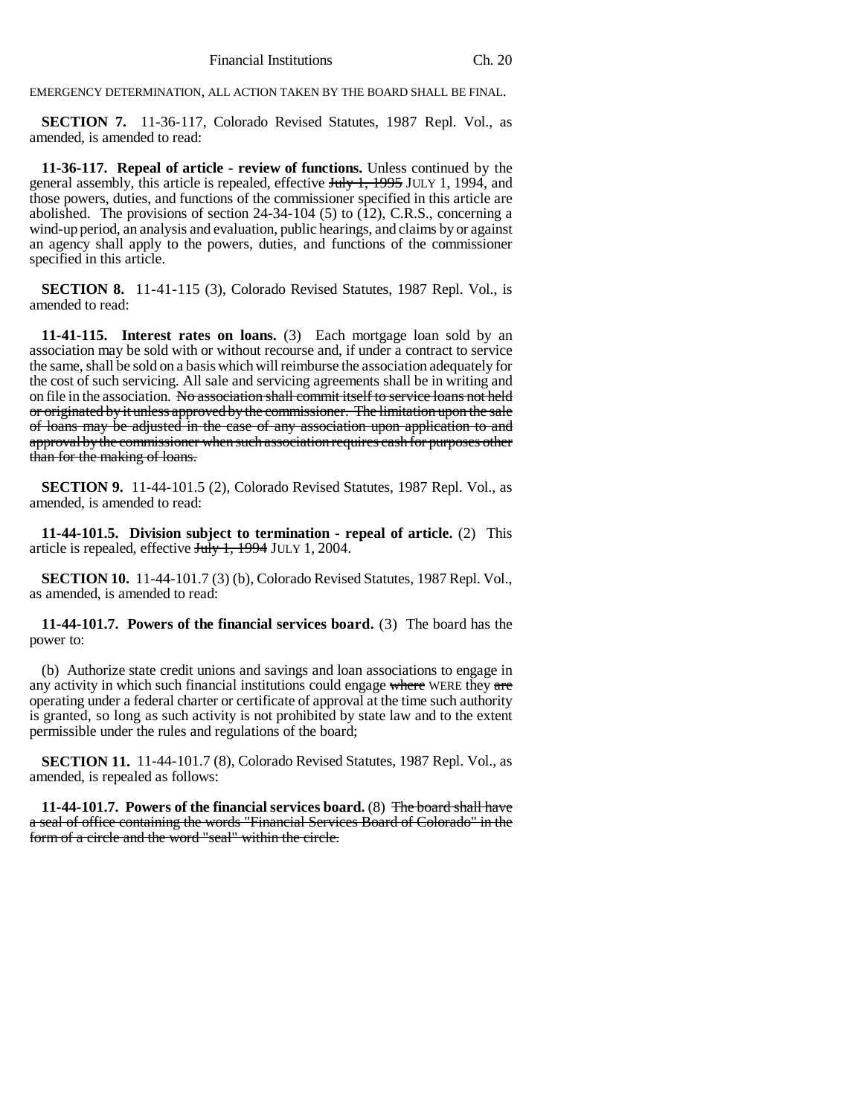EMERGENCY DETERMINATION, ALL ACTION TAKEN BY THE BOARD SHALL BE FINAL.

**SECTION 7.** 11-36-117, Colorado Revised Statutes, 1987 Repl. Vol., as amended, is amended to read:

**11-36-117. Repeal of article - review of functions.** Unless continued by the general assembly, this article is repealed, effective July 1, 1995 JULY 1, 1994, and those powers, duties, and functions of the commissioner specified in this article are abolished. The provisions of section  $24-34-104$  (5) to (12), C.R.S., concerning a wind-up period, an analysis and evaluation, public hearings, and claims by or against an agency shall apply to the powers, duties, and functions of the commissioner specified in this article.

**SECTION 8.** 11-41-115 (3), Colorado Revised Statutes, 1987 Repl. Vol., is amended to read:

**11-41-115. Interest rates on loans.** (3) Each mortgage loan sold by an association may be sold with or without recourse and, if under a contract to service the same, shall be sold on a basis which will reimburse the association adequately for the cost of such servicing. All sale and servicing agreements shall be in writing and on file in the association. No association shall commit itself to service loans not held or originated by it unless approved by the commissioner. The limitation upon the sale of loans may be adjusted in the case of any association upon application to and approval by the commissioner when such association requires cash for purposes other than for the making of loans.

**SECTION 9.** 11-44-101.5 (2), Colorado Revised Statutes, 1987 Repl. Vol., as amended, is amended to read:

**11-44-101.5. Division subject to termination - repeal of article.** (2) This article is repealed, effective July 1, 1994 JULY 1, 2004.

**SECTION 10.** 11-44-101.7 (3) (b), Colorado Revised Statutes, 1987 Repl. Vol., as amended, is amended to read:

**11-44-101.7. Powers of the financial services board.** (3) The board has the power to:

(b) Authorize state credit unions and savings and loan associations to engage in any activity in which such financial institutions could engage where WERE they are operating under a federal charter or certificate of approval at the time such authority is granted, so long as such activity is not prohibited by state law and to the extent permissible under the rules and regulations of the board;

**SECTION 11.** 11-44-101.7 (8), Colorado Revised Statutes, 1987 Repl. Vol., as amended, is repealed as follows:

**11-44-101.7. Powers of the financial services board.** (8) The board shall have a seal of office containing the words "Financial Services Board of Colorado" in the form of a circle and the word "seal" within the circle.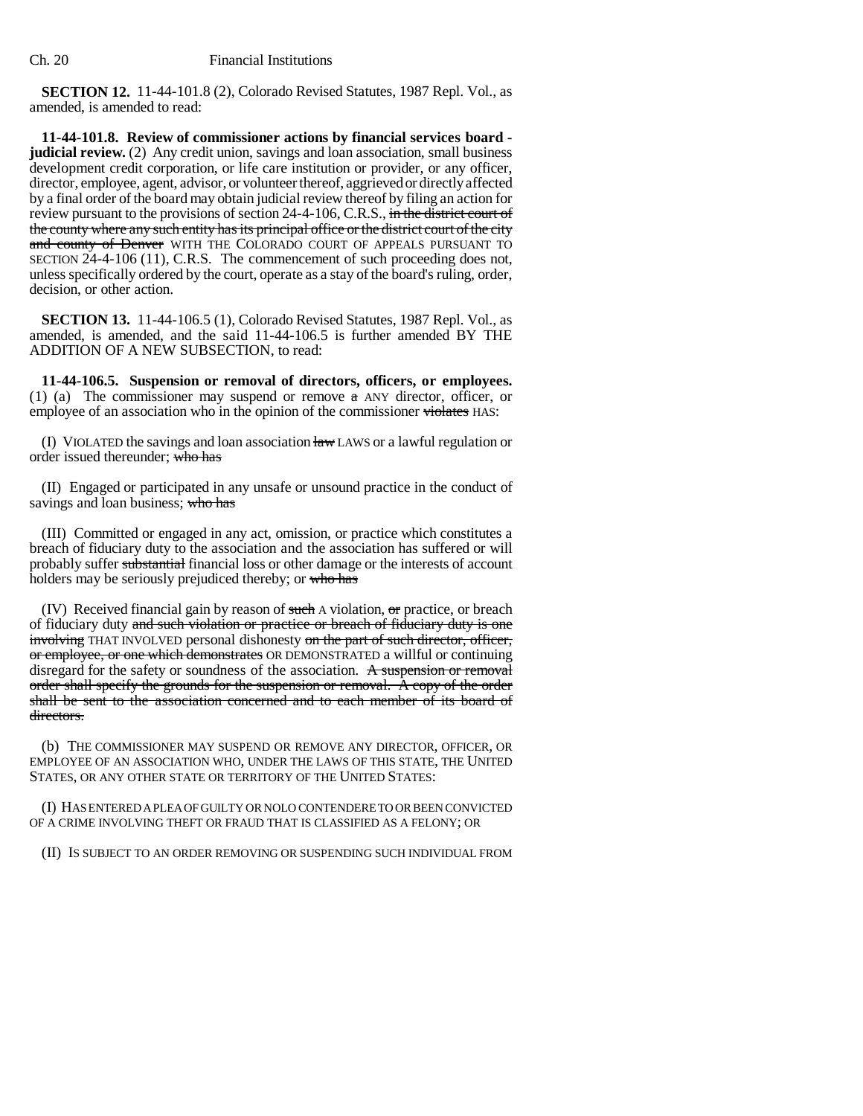**SECTION 12.** 11-44-101.8 (2), Colorado Revised Statutes, 1987 Repl. Vol., as amended, is amended to read:

**11-44-101.8. Review of commissioner actions by financial services board judicial review.** (2) Any credit union, savings and loan association, small business development credit corporation, or life care institution or provider, or any officer, director, employee, agent, advisor, or volunteer thereof, aggrieved or directly affected by a final order of the board may obtain judicial review thereof by filing an action for review pursuant to the provisions of section 24-4-106, C.R.S., in the district court of the county where any such entity has its principal office or the district court of the city and county of Denver WITH THE COLORADO COURT OF APPEALS PURSUANT TO SECTION 24-4-106 (11), C.R.S. The commencement of such proceeding does not, unless specifically ordered by the court, operate as a stay of the board's ruling, order, decision, or other action.

**SECTION 13.** 11-44-106.5 (1), Colorado Revised Statutes, 1987 Repl. Vol., as amended, is amended, and the said 11-44-106.5 is further amended BY THE ADDITION OF A NEW SUBSECTION, to read:

**11-44-106.5. Suspension or removal of directors, officers, or employees.** (1) (a) The commissioner may suspend or remove a ANY director, officer, or employee of an association who in the opinion of the commissioner violates HAS:

(I) VIOLATED the savings and loan association  $\frac{1}{4}$  LAWS or a lawful regulation or order issued thereunder; who has

(II) Engaged or participated in any unsafe or unsound practice in the conduct of savings and loan business; who has

(III) Committed or engaged in any act, omission, or practice which constitutes a breach of fiduciary duty to the association and the association has suffered or will probably suffer substantial financial loss or other damage or the interests of account holders may be seriously prejudiced thereby; or who has

(IV) Received financial gain by reason of such A violation, or practice, or breach of fiduciary duty and such violation or practice or breach of fiduciary duty is one involving THAT INVOLVED personal dishonesty on the part of such director, officer, or employee, or one which demonstrates OR DEMONSTRATED a willful or continuing disregard for the safety or soundness of the association. A suspension or removal order shall specify the grounds for the suspension or removal. A copy of the order shall be sent to the association concerned and to each member of its board of directors.

(b) THE COMMISSIONER MAY SUSPEND OR REMOVE ANY DIRECTOR, OFFICER, OR EMPLOYEE OF AN ASSOCIATION WHO, UNDER THE LAWS OF THIS STATE, THE UNITED STATES, OR ANY OTHER STATE OR TERRITORY OF THE UNITED STATES:

(I) HAS ENTERED A PLEA OF GUILTY OR NOLO CONTENDERE TO OR BEEN CONVICTED OF A CRIME INVOLVING THEFT OR FRAUD THAT IS CLASSIFIED AS A FELONY; OR

(II) IS SUBJECT TO AN ORDER REMOVING OR SUSPENDING SUCH INDIVIDUAL FROM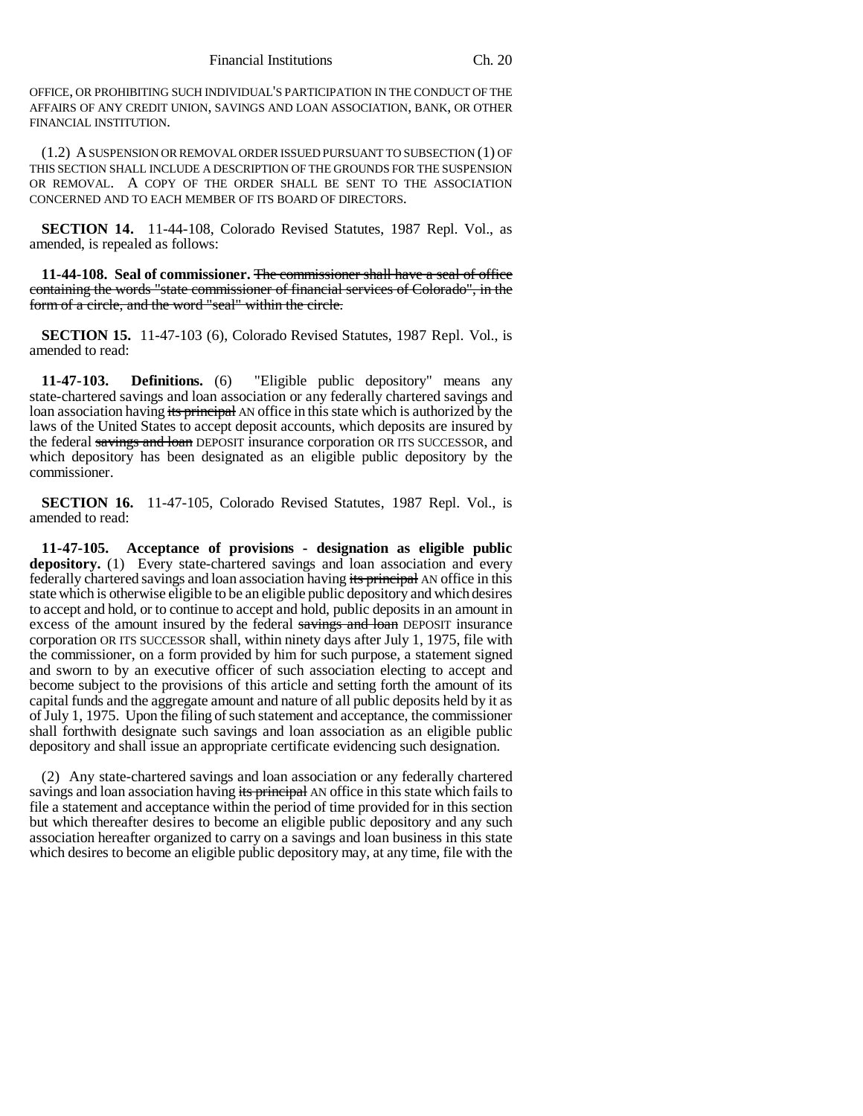OFFICE, OR PROHIBITING SUCH INDIVIDUAL'S PARTICIPATION IN THE CONDUCT OF THE AFFAIRS OF ANY CREDIT UNION, SAVINGS AND LOAN ASSOCIATION, BANK, OR OTHER FINANCIAL INSTITUTION.

(1.2) A SUSPENSION OR REMOVAL ORDER ISSUED PURSUANT TO SUBSECTION (1) OF THIS SECTION SHALL INCLUDE A DESCRIPTION OF THE GROUNDS FOR THE SUSPENSION OR REMOVAL. A COPY OF THE ORDER SHALL BE SENT TO THE ASSOCIATION CONCERNED AND TO EACH MEMBER OF ITS BOARD OF DIRECTORS.

**SECTION 14.** 11-44-108, Colorado Revised Statutes, 1987 Repl. Vol., as amended, is repealed as follows:

**11-44-108. Seal of commissioner.** The commissioner shall have a seal of office containing the words "state commissioner of financial services of Colorado", in the form of a circle, and the word "seal" within the circle.

**SECTION 15.** 11-47-103 (6), Colorado Revised Statutes, 1987 Repl. Vol., is amended to read:

**11-47-103. Definitions.** (6) "Eligible public depository" means any state-chartered savings and loan association or any federally chartered savings and loan association having its principal AN office in this state which is authorized by the laws of the United States to accept deposit accounts, which deposits are insured by the federal savings and loan DEPOSIT insurance corporation OR ITS SUCCESSOR, and which depository has been designated as an eligible public depository by the commissioner.

**SECTION 16.** 11-47-105, Colorado Revised Statutes, 1987 Repl. Vol., is amended to read:

**11-47-105. Acceptance of provisions - designation as eligible public depository.** (1) Every state-chartered savings and loan association and every federally chartered savings and loan association having its principal AN office in this state which is otherwise eligible to be an eligible public depository and which desires to accept and hold, or to continue to accept and hold, public deposits in an amount in excess of the amount insured by the federal savings and loan DEPOSIT insurance corporation OR ITS SUCCESSOR shall, within ninety days after July 1, 1975, file with the commissioner, on a form provided by him for such purpose, a statement signed and sworn to by an executive officer of such association electing to accept and become subject to the provisions of this article and setting forth the amount of its capital funds and the aggregate amount and nature of all public deposits held by it as of July 1, 1975. Upon the filing of such statement and acceptance, the commissioner shall forthwith designate such savings and loan association as an eligible public depository and shall issue an appropriate certificate evidencing such designation.

(2) Any state-chartered savings and loan association or any federally chartered savings and loan association having its principal AN office in this state which fails to file a statement and acceptance within the period of time provided for in this section but which thereafter desires to become an eligible public depository and any such association hereafter organized to carry on a savings and loan business in this state which desires to become an eligible public depository may, at any time, file with the